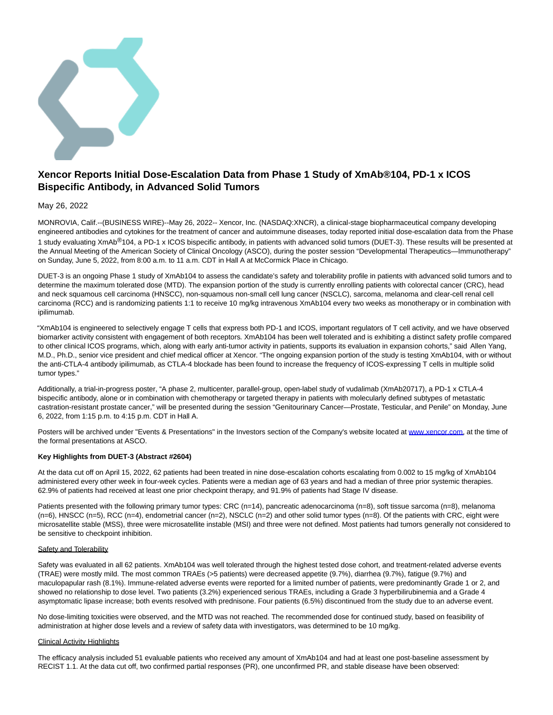

# **Xencor Reports Initial Dose-Escalation Data from Phase 1 Study of XmAb®104, PD-1 x ICOS Bispecific Antibody, in Advanced Solid Tumors**

# May 26, 2022

MONROVIA, Calif.--(BUSINESS WIRE)--May 26, 2022-- Xencor, Inc. (NASDAQ:XNCR), a clinical-stage biopharmaceutical company developing engineered antibodies and cytokines for the treatment of cancer and autoimmune diseases, today reported initial dose-escalation data from the Phase 1 study evaluating XmAb®104, a PD-1 x ICOS bispecific antibody, in patients with advanced solid tumors (DUET-3). These results will be presented at the Annual Meeting of the American Society of Clinical Oncology (ASCO), during the poster session "Developmental Therapeutics—Immunotherapy" on Sunday, June 5, 2022, from 8:00 a.m. to 11 a.m. CDT in Hall A at McCormick Place in Chicago.

DUET-3 is an ongoing Phase 1 study of XmAb104 to assess the candidate's safety and tolerability profile in patients with advanced solid tumors and to determine the maximum tolerated dose (MTD). The expansion portion of the study is currently enrolling patients with colorectal cancer (CRC), head and neck squamous cell carcinoma (HNSCC), non-squamous non-small cell lung cancer (NSCLC), sarcoma, melanoma and clear-cell renal cell carcinoma (RCC) and is randomizing patients 1:1 to receive 10 mg/kg intravenous XmAb104 every two weeks as monotherapy or in combination with ipilimumab.

"XmAb104 is engineered to selectively engage T cells that express both PD-1 and ICOS, important regulators of T cell activity, and we have observed biomarker activity consistent with engagement of both receptors. XmAb104 has been well tolerated and is exhibiting a distinct safety profile compared to other clinical ICOS programs, which, along with early anti-tumor activity in patients, supports its evaluation in expansion cohorts," said Allen Yang, M.D., Ph.D., senior vice president and chief medical officer at Xencor. "The ongoing expansion portion of the study is testing XmAb104, with or without the anti-CTLA-4 antibody ipilimumab, as CTLA-4 blockade has been found to increase the frequency of ICOS-expressing T cells in multiple solid tumor types."

Additionally, a trial-in-progress poster, "A phase 2, multicenter, parallel-group, open-label study of vudalimab (XmAb20717), a PD-1 x CTLA-4 bispecific antibody, alone or in combination with chemotherapy or targeted therapy in patients with molecularly defined subtypes of metastatic castration-resistant prostate cancer," will be presented during the session "Genitourinary Cancer—Prostate, Testicular, and Penile" on Monday, June 6, 2022, from 1:15 p.m. to 4:15 p.m. CDT in Hall A.

Posters will be archived under "Events & Presentations" in the Investors section of the Company's website located at [www.xencor.com,](https://cts.businesswire.com/ct/CT?id=smartlink&url=http%3A%2F%2Fwww.xencor.com&esheet=52732190&newsitemid=20220526005666&lan=en-US&anchor=www.xencor.com&index=1&md5=858201782ea97a712d4e700249cbb4aa) at the time of the formal presentations at ASCO.

## **Key Highlights from DUET-3 (Abstract #2604)**

At the data cut off on April 15, 2022, 62 patients had been treated in nine dose-escalation cohorts escalating from 0.002 to 15 mg/kg of XmAb104 administered every other week in four-week cycles. Patients were a median age of 63 years and had a median of three prior systemic therapies. 62.9% of patients had received at least one prior checkpoint therapy, and 91.9% of patients had Stage IV disease.

Patients presented with the following primary tumor types: CRC (n=14), pancreatic adenocarcinoma (n=8), soft tissue sarcoma (n=8), melanoma (n=6), HNSCC (n=5), RCC (n=4), endometrial cancer (n=2), NSCLC (n=2) and other solid tumor types (n=8). Of the patients with CRC, eight were microsatellite stable (MSS), three were microsatellite instable (MSI) and three were not defined. Most patients had tumors generally not considered to be sensitive to checkpoint inhibition.

#### Safety and Tolerability

Safety was evaluated in all 62 patients. XmAb104 was well tolerated through the highest tested dose cohort, and treatment-related adverse events (TRAE) were mostly mild. The most common TRAEs (>5 patients) were decreased appetite (9.7%), diarrhea (9.7%), fatigue (9.7%) and maculopapular rash (8.1%). Immune-related adverse events were reported for a limited number of patients, were predominantly Grade 1 or 2, and showed no relationship to dose level. Two patients (3.2%) experienced serious TRAEs, including a Grade 3 hyperbilirubinemia and a Grade 4 asymptomatic lipase increase; both events resolved with prednisone. Four patients (6.5%) discontinued from the study due to an adverse event.

No dose-limiting toxicities were observed, and the MTD was not reached. The recommended dose for continued study, based on feasibility of administration at higher dose levels and a review of safety data with investigators, was determined to be 10 mg/kg.

#### Clinical Activity Highlights

The efficacy analysis included 51 evaluable patients who received any amount of XmAb104 and had at least one post-baseline assessment by RECIST 1.1. At the data cut off, two confirmed partial responses (PR), one unconfirmed PR, and stable disease have been observed: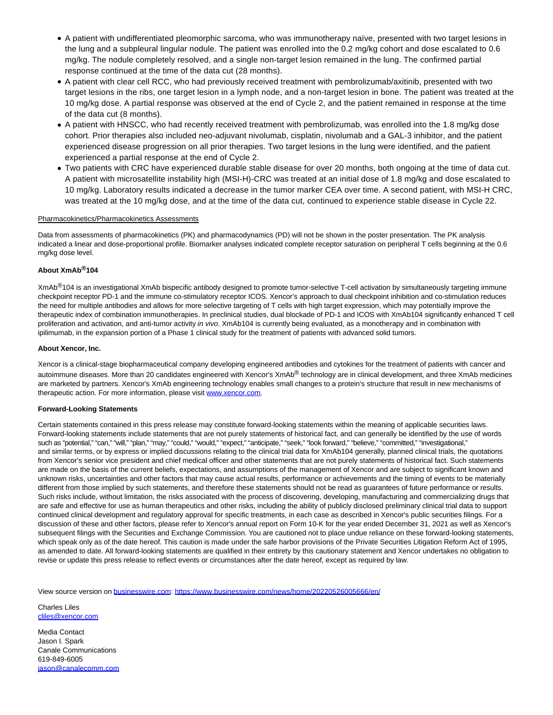- A patient with undifferentiated pleomorphic sarcoma, who was immunotherapy naïve, presented with two target lesions in the lung and a subpleural lingular nodule. The patient was enrolled into the 0.2 mg/kg cohort and dose escalated to 0.6 mg/kg. The nodule completely resolved, and a single non-target lesion remained in the lung. The confirmed partial response continued at the time of the data cut (28 months).
- A patient with clear cell RCC, who had previously received treatment with pembrolizumab/axitinib, presented with two target lesions in the ribs, one target lesion in a lymph node, and a non-target lesion in bone. The patient was treated at the 10 mg/kg dose. A partial response was observed at the end of Cycle 2, and the patient remained in response at the time of the data cut (8 months).
- A patient with HNSCC, who had recently received treatment with pembrolizumab, was enrolled into the 1.8 mg/kg dose cohort. Prior therapies also included neo-adjuvant nivolumab, cisplatin, nivolumab and a GAL-3 inhibitor, and the patient experienced disease progression on all prior therapies. Two target lesions in the lung were identified, and the patient experienced a partial response at the end of Cycle 2.
- Two patients with CRC have experienced durable stable disease for over 20 months, both ongoing at the time of data cut. A patient with microsatellite instability high (MSI-H)-CRC was treated at an initial dose of 1.8 mg/kg and dose escalated to 10 mg/kg. Laboratory results indicated a decrease in the tumor marker CEA over time. A second patient, with MSI-H CRC, was treated at the 10 mg/kg dose, and at the time of the data cut, continued to experience stable disease in Cycle 22.

## Pharmacokinetics/Pharmacokinetics Assessments

Data from assessments of pharmacokinetics (PK) and pharmacodynamics (PD) will not be shown in the poster presentation. The PK analysis indicated a linear and dose-proportional profile. Biomarker analyses indicated complete receptor saturation on peripheral T cells beginning at the 0.6 mg/kg dose level.

# **About XmAb®104**

XmAb<sup>®</sup>104 is an investigational XmAb bispecific antibody designed to promote tumor-selective T-cell activation by simultaneously targeting immune checkpoint receptor PD-1 and the immune co-stimulatory receptor ICOS. Xencor's approach to dual checkpoint inhibition and co-stimulation reduces the need for multiple antibodies and allows for more selective targeting of T cells with high target expression, which may potentially improve the therapeutic index of combination immunotherapies. In preclinical studies, dual blockade of PD-1 and ICOS with XmAb104 significantly enhanced T cell proliferation and activation, and anti-tumor activity in vivo. XmAb104 is currently being evaluated, as a monotherapy and in combination with ipilimumab, in the expansion portion of a Phase 1 clinical study for the treatment of patients with advanced solid tumors.

## **About Xencor, Inc.**

Xencor is a clinical-stage biopharmaceutical company developing engineered antibodies and cytokines for the treatment of patients with cancer and autoimmune diseases. More than 20 candidates engineered with Xencor's XmAb® technology are in clinical development, and three XmAb medicines are marketed by partners. Xencor's XmAb engineering technology enables small changes to a protein's structure that result in new mechanisms of therapeutic action. For more information, please visit [www.xencor.com.](https://cts.businesswire.com/ct/CT?id=smartlink&url=http%3A%2F%2Fwww.xencor.com&esheet=52732190&newsitemid=20220526005666&lan=en-US&anchor=www.xencor.com&index=2&md5=35d3ac42617c1ee1678da9b7c3db63d7)

## **Forward-Looking Statements**

Certain statements contained in this press release may constitute forward-looking statements within the meaning of applicable securities laws. Forward-looking statements include statements that are not purely statements of historical fact, and can generally be identified by the use of words such as "potential," "can," 'will," "plan," "may," "could," "would," "expect," "anticipate," "seek," "look forward," "believe," "committed," "investigational," and similar terms, or by express or implied discussions relating to the clinical trial data for XmAb104 generally, planned clinical trials, the quotations from Xencor's senior vice president and chief medical officer and other statements that are not purely statements of historical fact. Such statements are made on the basis of the current beliefs, expectations, and assumptions of the management of Xencor and are subject to significant known and unknown risks, uncertainties and other factors that may cause actual results, performance or achievements and the timing of events to be materially different from those implied by such statements, and therefore these statements should not be read as guarantees of future performance or results. Such risks include, without limitation, the risks associated with the process of discovering, developing, manufacturing and commercializing drugs that are safe and effective for use as human therapeutics and other risks, including the ability of publicly disclosed preliminary clinical trial data to support continued clinical development and regulatory approval for specific treatments, in each case as described in Xencor's public securities filings. For a discussion of these and other factors, please refer to Xencor's annual report on Form 10-K for the year ended December 31, 2021 as well as Xencor's subsequent filings with the Securities and Exchange Commission. You are cautioned not to place undue reliance on these forward-looking statements, which speak only as of the date hereof. This caution is made under the safe harbor provisions of the Private Securities Litigation Reform Act of 1995, as amended to date. All forward-looking statements are qualified in their entirety by this cautionary statement and Xencor undertakes no obligation to revise or update this press release to reflect events or circumstances after the date hereof, except as required by law.

View source version on [businesswire.com:](http://businesswire.com/)<https://www.businesswire.com/news/home/20220526005666/en/>

Charles Liles [cliles@xencor.com](mailto:cliles@xencor.com)

Media Contact Jason I. Spark Canale Communications 619-849-6005 [jason@canalecomm.com](mailto:jason@canalecomm.com)